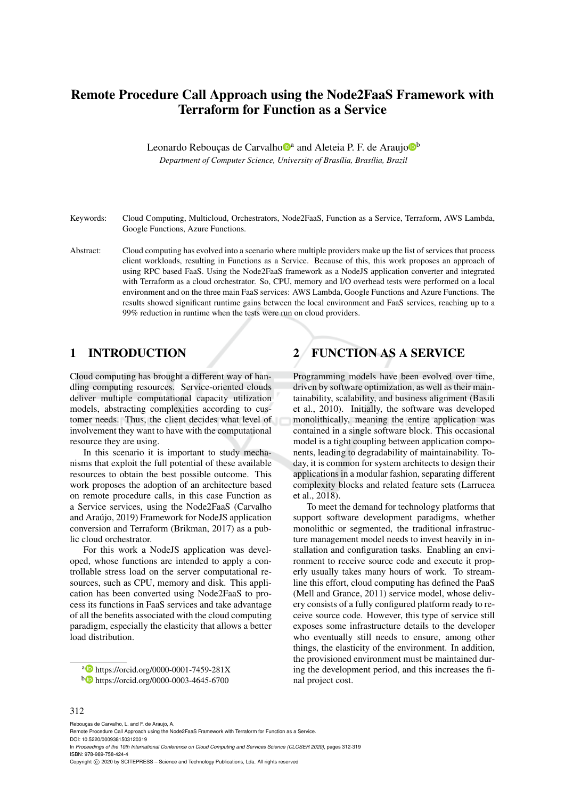# Remote Procedure Call Approach using the Node2FaaS Framework with Terraform for Function as a Service

Leonardo Rebouças de Carvalho<sup>na</sup> and Aleteia P. F. de Araujo<sup>nb</sup> *Department of Computer Science, University of Bras´ılia, Bras´ılia, Brazil*

- Keywords: Cloud Computing, Multicloud, Orchestrators, Node2FaaS, Function as a Service, Terraform, AWS Lambda, Google Functions, Azure Functions.
- Abstract: Cloud computing has evolved into a scenario where multiple providers make up the list of services that process client workloads, resulting in Functions as a Service. Because of this, this work proposes an approach of using RPC based FaaS. Using the Node2FaaS framework as a NodeJS application converter and integrated with Terraform as a cloud orchestrator. So, CPU, memory and I/O overhead tests were performed on a local environment and on the three main FaaS services: AWS Lambda, Google Functions and Azure Functions. The results showed significant runtime gains between the local environment and FaaS services, reaching up to a 99% reduction in runtime when the tests were run on cloud providers.

#### 1 INTRODUCTION

Cloud computing has brought a different way of handling computing resources. Service-oriented clouds deliver multiple computational capacity utilization models, abstracting complexities according to customer needs. Thus, the client decides what level of involvement they want to have with the computational resource they are using.

In this scenario it is important to study mechanisms that exploit the full potential of these available resources to obtain the best possible outcome. This work proposes the adoption of an architecture based on remote procedure calls, in this case Function as a Service services, using the Node2FaaS (Carvalho and Araújo, 2019) Framework for NodeJS application conversion and Terraform (Brikman, 2017) as a public cloud orchestrator.

For this work a NodeJS application was developed, whose functions are intended to apply a controllable stress load on the server computational resources, such as CPU, memory and disk. This application has been converted using Node2FaaS to process its functions in FaaS services and take advantage of all the benefits associated with the cloud computing paradigm, especially the elasticity that allows a better load distribution.

a **b** https://orcid.org/0000-0001-7459-281X <sup>b</sup> https://orcid.org/0000-0003-4645-6700

# 2 FUNCTION AS A SERVICE

Programming models have been evolved over time, driven by software optimization, as well as their maintainability, scalability, and business alignment (Basili et al., 2010). Initially, the software was developed monolithically, meaning the entire application was contained in a single software block. This occasional model is a tight coupling between application components, leading to degradability of maintainability. Today, it is common for system architects to design their applications in a modular fashion, separating different complexity blocks and related feature sets (Larrucea et al., 2018).

To meet the demand for technology platforms that support software development paradigms, whether monolithic or segmented, the traditional infrastructure management model needs to invest heavily in installation and configuration tasks. Enabling an environment to receive source code and execute it properly usually takes many hours of work. To streamline this effort, cloud computing has defined the PaaS (Mell and Grance, 2011) service model, whose delivery consists of a fully configured platform ready to receive source code. However, this type of service still exposes some infrastructure details to the developer who eventually still needs to ensure, among other things, the elasticity of the environment. In addition, the provisioned environment must be maintained during the development period, and this increases the final project cost.

#### 312

Rebouças de Carvalho, L. and F. de Araujo, A.

Remote Procedure Call Approach using the Node2FaaS Framework with Terraform for Function as a Service. DOI: 10.5220/0009381503120319

In *Proceedings of the 10th International Conference on Cloud Computing and Services Science (CLOSER 2020)*, pages 312-319 ISBN: 978-989-758-424-4

Copyright © 2020 by SCITEPRESS - Science and Technology Publications, Lda. All rights reserved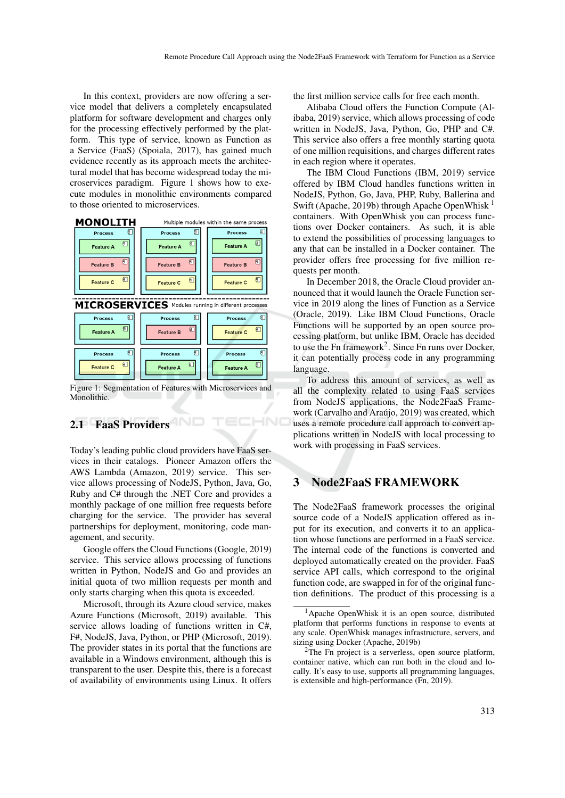In this context, providers are now offering a service model that delivers a completely encapsulated platform for software development and charges only for the processing effectively performed by the platform. This type of service, known as Function as a Service (FaaS) (Spoiala, 2017), has gained much evidence recently as its approach meets the architectural model that has become widespread today the microservices paradigm. Figure 1 shows how to execute modules in monolithic environments compared to those oriented to microservices.



Figure 1: Segmentation of Features with Microservices and **Monolithic** 

HNI

# 2.1 FaaS Providers

Today's leading public cloud providers have FaaS services in their catalogs. Pioneer Amazon offers the AWS Lambda (Amazon, 2019) service. This service allows processing of NodeJS, Python, Java, Go, Ruby and C# through the .NET Core and provides a monthly package of one million free requests before charging for the service. The provider has several partnerships for deployment, monitoring, code management, and security.

Google offers the Cloud Functions (Google, 2019) service. This service allows processing of functions written in Python, NodeJS and Go and provides an initial quota of two million requests per month and only starts charging when this quota is exceeded.

Microsoft, through its Azure cloud service, makes Azure Functions (Microsoft, 2019) available. This service allows loading of functions written in C#, F#, NodeJS, Java, Python, or PHP (Microsoft, 2019). The provider states in its portal that the functions are available in a Windows environment, although this is transparent to the user. Despite this, there is a forecast of availability of environments using Linux. It offers

the first million service calls for free each month.

Alibaba Cloud offers the Function Compute (Alibaba, 2019) service, which allows processing of code written in NodeJS, Java, Python, Go, PHP and C#. This service also offers a free monthly starting quota of one million requisitions, and charges different rates in each region where it operates.

The IBM Cloud Functions (IBM, 2019) service offered by IBM Cloud handles functions written in NodeJS, Python, Go, Java, PHP, Ruby, Ballerina and Swift (Apache, 2019b) through Apache OpenWhisk  $<sup>1</sup>$ </sup> containers. With OpenWhisk you can process functions over Docker containers. As such, it is able to extend the possibilities of processing languages to any that can be installed in a Docker container. The provider offers free processing for five million requests per month.

In December 2018, the Oracle Cloud provider announced that it would launch the Oracle Function service in 2019 along the lines of Function as a Service (Oracle, 2019). Like IBM Cloud Functions, Oracle Functions will be supported by an open source processing platform, but unlike IBM, Oracle has decided to use the Fn framework<sup>2</sup>. Since Fn runs over Docker, it can potentially process code in any programming language.

To address this amount of services, as well as all the complexity related to using FaaS services from NodeJS applications, the Node2FaaS Framework (Carvalho and Araújo, 2019) was created, which uses a remote procedure call approach to convert applications written in NodeJS with local processing to work with processing in FaaS services.

## 3 Node2FaaS FRAMEWORK

The Node2FaaS framework processes the original source code of a NodeJS application offered as input for its execution, and converts it to an application whose functions are performed in a FaaS service. The internal code of the functions is converted and deployed automatically created on the provider. FaaS service API calls, which correspond to the original function code, are swapped in for of the original function definitions. The product of this processing is a

<sup>&</sup>lt;sup>1</sup>Apache OpenWhisk it is an open source, distributed platform that performs functions in response to events at any scale. OpenWhisk manages infrastructure, servers, and sizing using Docker (Apache, 2019b)

<sup>&</sup>lt;sup>2</sup>The Fn project is a serverless, open source platform, container native, which can run both in the cloud and locally. It's easy to use, supports all programming languages, is extensible and high-performance (Fn, 2019).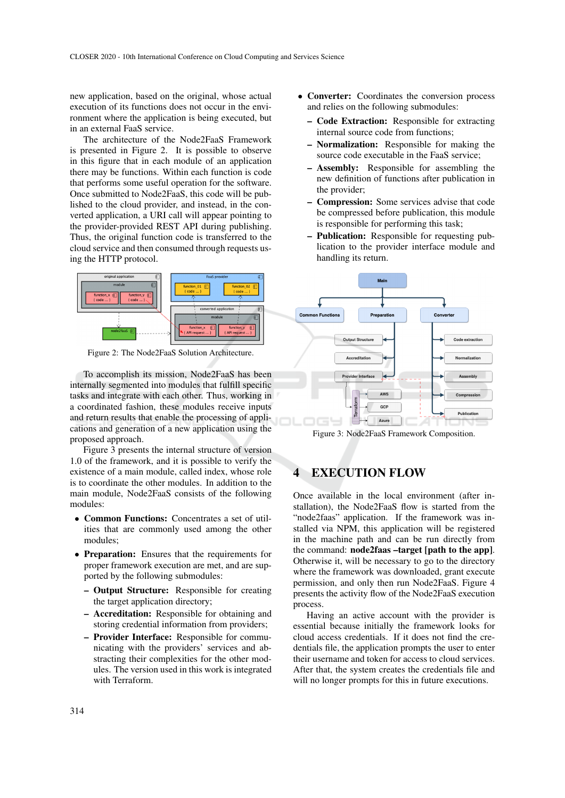new application, based on the original, whose actual execution of its functions does not occur in the environment where the application is being executed, but in an external FaaS service.

The architecture of the Node2FaaS Framework is presented in Figure 2. It is possible to observe in this figure that in each module of an application there may be functions. Within each function is code that performs some useful operation for the software. Once submitted to Node2FaaS, this code will be published to the cloud provider, and instead, in the converted application, a URI call will appear pointing to the provider-provided REST API during publishing. Thus, the original function code is transferred to the cloud service and then consumed through requests using the HTTP protocol.



Figure 2: The Node2FaaS Solution Architecture.

To accomplish its mission, Node2FaaS has been internally segmented into modules that fulfill specific tasks and integrate with each other. Thus, working in a coordinated fashion, these modules receive inputs and return results that enable the processing of applications and generation of a new application using the proposed approach.

Figure 3 presents the internal structure of version 1.0 of the framework, and it is possible to verify the existence of a main module, called index, whose role is to coordinate the other modules. In addition to the main module, Node2FaaS consists of the following modules:

- Common Functions: Concentrates a set of utilities that are commonly used among the other modules;
- Preparation: Ensures that the requirements for proper framework execution are met, and are supported by the following submodules:
	- Output Structure: Responsible for creating the target application directory;
	- Accreditation: Responsible for obtaining and storing credential information from providers;
	- Provider Interface: Responsible for communicating with the providers' services and abstracting their complexities for the other modules. The version used in this work is integrated with Terraform.
- Converter: Coordinates the conversion process and relies on the following submodules:
	- Code Extraction: Responsible for extracting internal source code from functions;
	- Normalization: Responsible for making the source code executable in the FaaS service;
	- Assembly: Responsible for assembling the new definition of functions after publication in the provider;
	- Compression: Some services advise that code be compressed before publication, this module is responsible for performing this task;
	- Publication: Responsible for requesting publication to the provider interface module and handling its return.



Figure 3: Node2FaaS Framework Composition.

### **EXECUTION FLOW**

Once available in the local environment (after installation), the Node2FaaS flow is started from the "node2faas" application. If the framework was installed via NPM, this application will be registered in the machine path and can be run directly from the command: node2faas –target [path to the app]. Otherwise it, will be necessary to go to the directory where the framework was downloaded, grant execute permission, and only then run Node2FaaS. Figure 4 presents the activity flow of the Node2FaaS execution process.

Having an active account with the provider is essential because initially the framework looks for cloud access credentials. If it does not find the credentials file, the application prompts the user to enter their username and token for access to cloud services. After that, the system creates the credentials file and will no longer prompts for this in future executions.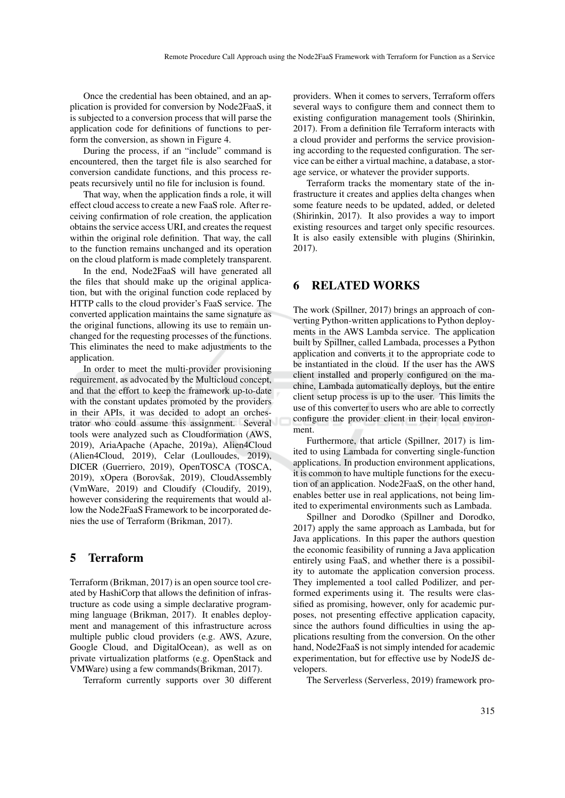Once the credential has been obtained, and an application is provided for conversion by Node2FaaS, it is subjected to a conversion process that will parse the application code for definitions of functions to perform the conversion, as shown in Figure 4.

During the process, if an "include" command is encountered, then the target file is also searched for conversion candidate functions, and this process repeats recursively until no file for inclusion is found.

That way, when the application finds a role, it will effect cloud access to create a new FaaS role. After receiving confirmation of role creation, the application obtains the service access URI, and creates the request within the original role definition. That way, the call to the function remains unchanged and its operation on the cloud platform is made completely transparent.

In the end, Node2FaaS will have generated all the files that should make up the original application, but with the original function code replaced by HTTP calls to the cloud provider's FaaS service. The converted application maintains the same signature as the original functions, allowing its use to remain unchanged for the requesting processes of the functions. This eliminates the need to make adjustments to the application.

In order to meet the multi-provider provisioning requirement, as advocated by the Multicloud concept, and that the effort to keep the framework up-to-date with the constant updates promoted by the providers in their APIs, it was decided to adopt an orchestrator who could assume this assignment. Several tools were analyzed such as Cloudformation (AWS, 2019), AriaApache (Apache, 2019a), Alien4Cloud (Alien4Cloud, 2019), Celar (Loulloudes, 2019), DICER (Guerriero, 2019), OpenTOSCA (TOSCA, 2019), xOpera (Borovšak, 2019), CloudAssembly (VmWare, 2019) and Cloudify (Cloudify, 2019), however considering the requirements that would allow the Node2FaaS Framework to be incorporated denies the use of Terraform (Brikman, 2017).

### 5 Terraform

Terraform (Brikman, 2017) is an open source tool created by HashiCorp that allows the definition of infrastructure as code using a simple declarative programming language (Brikman, 2017). It enables deployment and management of this infrastructure across multiple public cloud providers (e.g. AWS, Azure, Google Cloud, and DigitalOcean), as well as on private virtualization platforms (e.g. OpenStack and VMWare) using a few commands(Brikman, 2017).

Terraform currently supports over 30 different

providers. When it comes to servers, Terraform offers several ways to configure them and connect them to existing configuration management tools (Shirinkin, 2017). From a definition file Terraform interacts with a cloud provider and performs the service provisioning according to the requested configuration. The service can be either a virtual machine, a database, a storage service, or whatever the provider supports.

Terraform tracks the momentary state of the infrastructure it creates and applies delta changes when some feature needs to be updated, added, or deleted (Shirinkin, 2017). It also provides a way to import existing resources and target only specific resources. It is also easily extensible with plugins (Shirinkin, 2017).

#### 6 RELATED WORKS

The work (Spillner, 2017) brings an approach of converting Python-written applications to Python deployments in the AWS Lambda service. The application built by Spillner, called Lambada, processes a Python application and converts it to the appropriate code to be instantiated in the cloud. If the user has the AWS client installed and properly configured on the machine, Lambada automatically deploys, but the entire client setup process is up to the user. This limits the use of this converter to users who are able to correctly configure the provider client in their local environment.

Furthermore, that article (Spillner, 2017) is limited to using Lambada for converting single-function applications. In production environment applications, it is common to have multiple functions for the execution of an application. Node2FaaS, on the other hand, enables better use in real applications, not being limited to experimental environments such as Lambada.

Spillner and Dorodko (Spillner and Dorodko, 2017) apply the same approach as Lambada, but for Java applications. In this paper the authors question the economic feasibility of running a Java application entirely using FaaS, and whether there is a possibility to automate the application conversion process. They implemented a tool called Podilizer, and performed experiments using it. The results were classified as promising, however, only for academic purposes, not presenting effective application capacity, since the authors found difficulties in using the applications resulting from the conversion. On the other hand, Node2FaaS is not simply intended for academic experimentation, but for effective use by NodeJS developers.

The Serverless (Serverless, 2019) framework pro-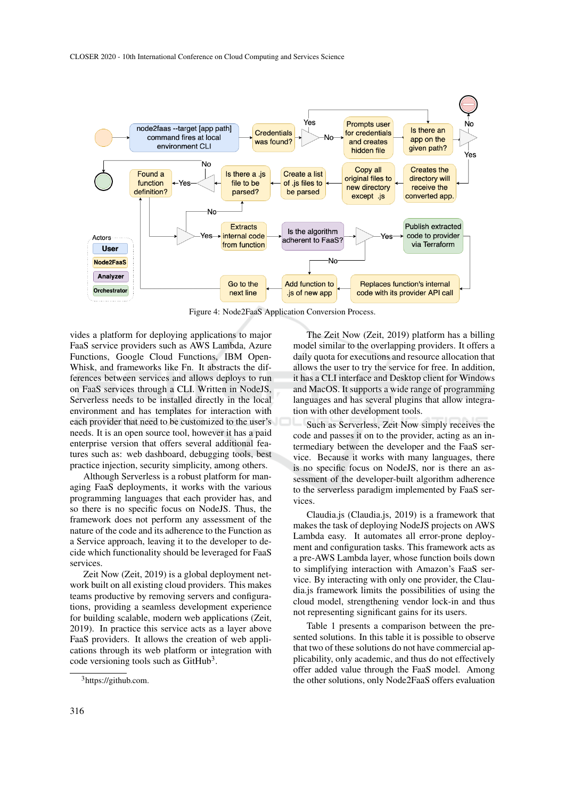

Figure 4: Node2FaaS Application Conversion Process.

vides a platform for deploying applications to major FaaS service providers such as AWS Lambda, Azure Functions, Google Cloud Functions, IBM Open-Whisk, and frameworks like Fn. It abstracts the differences between services and allows deploys to run on FaaS services through a CLI. Written in NodeJS, Serverless needs to be installed directly in the local environment and has templates for interaction with each provider that need to be customized to the user's needs. It is an open source tool, however it has a paid enterprise version that offers several additional features such as: web dashboard, debugging tools, best practice injection, security simplicity, among others.

Although Serverless is a robust platform for managing FaaS deployments, it works with the various programming languages that each provider has, and so there is no specific focus on NodeJS. Thus, the framework does not perform any assessment of the nature of the code and its adherence to the Function as a Service approach, leaving it to the developer to decide which functionality should be leveraged for FaaS services.

Zeit Now (Zeit, 2019) is a global deployment network built on all existing cloud providers. This makes teams productive by removing servers and configurations, providing a seamless development experience for building scalable, modern web applications (Zeit, 2019). In practice this service acts as a layer above FaaS providers. It allows the creation of web applications through its web platform or integration with code versioning tools such as GitHub<sup>3</sup>.

The Zeit Now (Zeit, 2019) platform has a billing model similar to the overlapping providers. It offers a daily quota for executions and resource allocation that allows the user to try the service for free. In addition, it has a CLI interface and Desktop client for Windows and MacOS. It supports a wide range of programming languages and has several plugins that allow integration with other development tools.

Such as Serverless, Zeit Now simply receives the code and passes it on to the provider, acting as an intermediary between the developer and the FaaS service. Because it works with many languages, there is no specific focus on NodeJS, nor is there an assessment of the developer-built algorithm adherence to the serverless paradigm implemented by FaaS services.

Claudia.js (Claudia.js, 2019) is a framework that makes the task of deploying NodeJS projects on AWS Lambda easy. It automates all error-prone deployment and configuration tasks. This framework acts as a pre-AWS Lambda layer, whose function boils down to simplifying interaction with Amazon's FaaS service. By interacting with only one provider, the Claudia.js framework limits the possibilities of using the cloud model, strengthening vendor lock-in and thus not representing significant gains for its users.

Table 1 presents a comparison between the presented solutions. In this table it is possible to observe that two of these solutions do not have commercial applicability, only academic, and thus do not effectively offer added value through the FaaS model. Among the other solutions, only Node2FaaS offers evaluation

<sup>3</sup>https://github.com.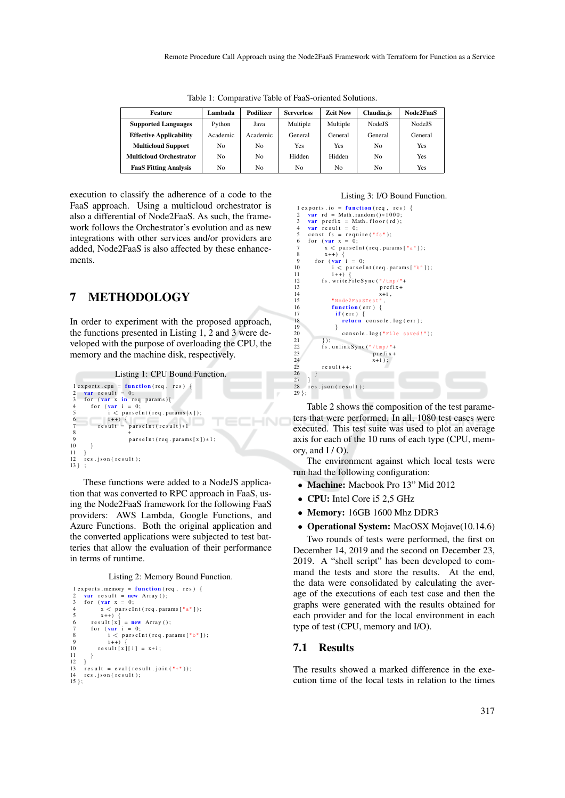| Feature                        | Lambada  | Podilizer | <b>Serverless</b> | <b>Zeit Now</b> | Claudia.js     | Node2FaaS      |
|--------------------------------|----------|-----------|-------------------|-----------------|----------------|----------------|
| <b>Supported Languages</b>     | Python   | Java      | Multiple          | Multiple        | <b>NodeJS</b>  | <b>Node IS</b> |
| <b>Effective Applicability</b> | Academic | Academic  | General           | General         | General        | General        |
| <b>Multicloud Support</b>      | No.      | No        | Yes               | Yes             | N <sub>0</sub> | Yes            |
| <b>Multicloud Orchestrator</b> | No.      | No        | Hidden            | Hidden          | N <sub>0</sub> | Yes            |
| <b>FaaS Fitting Analysis</b>   | No.      | No        | No                | No              | N <sub>0</sub> | Yes            |

Table 1: Comparative Table of FaaS-oriented Solutions.

execution to classify the adherence of a code to the FaaS approach. Using a multicloud orchestrator is also a differential of Node2FaaS. As such, the framework follows the Orchestrator's evolution and as new integrations with other services and/or providers are added, Node2FaaS is also affected by these enhancements.

## 7 METHODOLOGY

In order to experiment with the proposed approach, the functions presented in Listing 1, 2 and 3 were developed with the purpose of overloading the CPU, the memory and the machine disk, respectively.

Listing 1: CPU Bound Function.  $1$  exports.cpu = function (req, res) { 2 var result = 0;<br>3 for (var x in req.params){<br>4 for (var i = 0;<br>5 i < parseInt(req.params[x]); 6 i ++ ) {<br>7 result = parseInt(result)\*1<br>8 + 8  $+$ <br>9 parseInt (req. params [x]) \*1; 10 }  $\frac{11}{12}$  $res$ . js on ( $res$  ult); 13 } ;

These functions were added to a NodeJS application that was converted to RPC approach in FaaS, using the Node2FaaS framework for the following FaaS providers: AWS Lambda, Google Functions, and Azure Functions. Both the original application and the converted applications were subjected to test batteries that allow the evaluation of their performance in terms of runtime.

Listing 2: Memory Bound Function.

```
1 exports.memory = function (req, res) {<br>
2 var result = new Array ();<br>
3 for (var x = 0;<br>
4 x < parseInt(req.params["a"]);
  5 x++) {<br>6 result [x] = new Array ();
  7 for (\text{var } i = 0;<br>8 i < parseInt(req.params["b"]);
 9 i++) {<br>
10 result[x][i] = x+i;
\begin{matrix} 11 & 11 \\ 12 & 1 \end{matrix}\frac{12}{13}\int result = eval(result.join("+"));
        res. js on (result);
\frac{14}{15};
```
#### Listing 3: I/O Bound Function.

```
1 exports.io = function (req, res) {<br>
2 var rd = Math.random ()*1000;<br>
3 var prefix = Math.floor(rd);<br>
4 var result = 0;
  5 c on st f s = r e quire (\frac{n}{s}");<br>6 f or (\frac{var}{x} x = 0;<br>7 x < parse Int (req. params [\frac{n}{a}"]);
  8 x++) {<br>9 for (var i = 0;
10 i < par sel nt (req. params ["b"]);<br>11 i++) {
\begin{array}{ccc} 11 & & \text{i++)} \\ 12 & & \text{fs. writ} \end{array}12 fs. write \text{FileSync}(\sqrt{\text{tmp}}/\sqrt{\text{mp}})<br>13 prefix+
13<br>
14 prefix +
x + i, x + i15 " Node2FaaSTest<br>16 function (err)
16 function (err) {<br>17 if (err) {
\begin{array}{cc} 17 & \text{if (err)} \\ 18 & \text{return} \end{array}return console.log(err);
\frac{19}{20}console.log("File saved!");
\frac{21}{22}22 f_s . unlink S ync (\sqrt[m]{\text{tmp}})^n +<br>23 \text{prefix} +23<br>
24<br>
x+i):
24 x+i; x+i;
               r e s u l t ++;\begin{matrix} 26 \\ 27 \end{matrix} }
\frac{27}{28}res. j s on (res ult);
29 } ;
```
Table 2 shows the composition of the test parameters that were performed. In all, 1080 test cases were executed. This test suite was used to plot an average axis for each of the 10 runs of each type (CPU, memory, and  $I/O$ ).

The environment against which local tests were run had the following configuration:

- Machine: Macbook Pro 13" Mid 2012
- CPU: Intel Core i5 2.5 GHz
- Memory: 16GB 1600 Mhz DDR3
- Operational System: MacOSX Mojave(10.14.6)

Two rounds of tests were performed, the first on December 14, 2019 and the second on December 23, 2019. A "shell script" has been developed to command the tests and store the results. At the end, the data were consolidated by calculating the average of the executions of each test case and then the graphs were generated with the results obtained for each provider and for the local environment in each type of test (CPU, memory and I/O).

#### 7.1 Results

The results showed a marked difference in the execution time of the local tests in relation to the times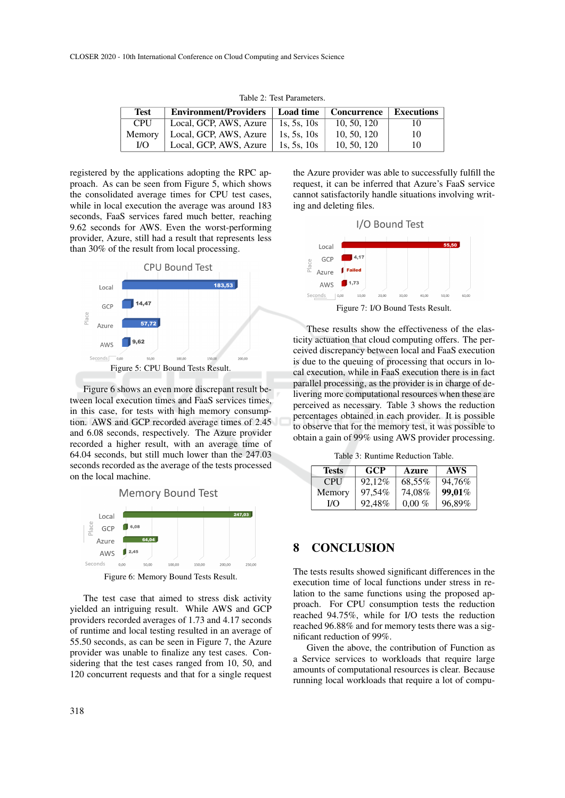| Test       | <b>Environment/Providers</b> | ∣ Load time   | <b>Concurrence</b> | <b>Executions</b> |
|------------|------------------------------|---------------|--------------------|-------------------|
| <b>CPU</b> | Local, GCP, AWS, Azure       | 1s. 5s. 10s   | 10, 50, 120        | 10                |
| Memory     | Local, GCP, AWS, Azure       | 1s. 5s. $10s$ | 10, 50, 120        | 10                |
| I/O        | Local, GCP, AWS, Azure       | 1s. 5s. $10s$ | 10, 50, 120        | 10                |

Table 2: Test Parameters.

registered by the applications adopting the RPC approach. As can be seen from Figure 5, which shows the consolidated average times for CPU test cases, while in local execution the average was around 183 seconds, FaaS services fared much better, reaching 9.62 seconds for AWS. Even the worst-performing provider, Azure, still had a result that represents less than 30% of the result from local processing.



Figure 6 shows an even more discrepant result between local execution times and FaaS services times, in this case, for tests with high memory consumption. AWS and GCP recorded average times of 2.45 and 6.08 seconds, respectively. The Azure provider recorded a higher result, with an average time of 64.04 seconds, but still much lower than the 247.03 seconds recorded as the average of the tests processed on the local machine.

**Memory Bound Test** 247,03 GCF Azure  $12.45$ AWS Seconds  $100,0$ 150,00 250,00  $200,00$ 

Figure 6: Memory Bound Tests Result.

The test case that aimed to stress disk activity yielded an intriguing result. While AWS and GCP providers recorded averages of 1.73 and 4.17 seconds of runtime and local testing resulted in an average of 55.50 seconds, as can be seen in Figure 7, the Azure provider was unable to finalize any test cases. Considering that the test cases ranged from 10, 50, and 120 concurrent requests and that for a single request

the Azure provider was able to successfully fulfill the request, it can be inferred that Azure's FaaS service cannot satisfactorily handle situations involving writing and deleting files.



These results show the effectiveness of the elasticity actuation that cloud computing offers. The perceived discrepancy between local and FaaS execution is due to the queuing of processing that occurs in local execution, while in FaaS execution there is in fact parallel processing, as the provider is in charge of delivering more computational resources when these are perceived as necessary. Table 3 shows the reduction percentages obtained in each provider. It is possible to observe that for the memory test, it was possible to obtain a gain of 99% using AWS provider processing.

Table 3: Runtime Reduction Table.

| <b>Tests</b> | <b>GCP</b> | <b>Azure</b> | <b>AWS</b> |
|--------------|------------|--------------|------------|
| <b>CPU</b>   | 92.12%     | 68,55%       | 94.76%     |
| Memory       | 97,54%     | 74.08%       | 99.01%     |
| I/O          | 92,48%     | $0.00\%$     | 96,89%     |

# 8 CONCLUSION

The tests results showed significant differences in the execution time of local functions under stress in relation to the same functions using the proposed approach. For CPU consumption tests the reduction reached 94.75%, while for I/O tests the reduction reached 96.88% and for memory tests there was a significant reduction of 99%.

Given the above, the contribution of Function as a Service services to workloads that require large amounts of computational resources is clear. Because running local workloads that require a lot of compu